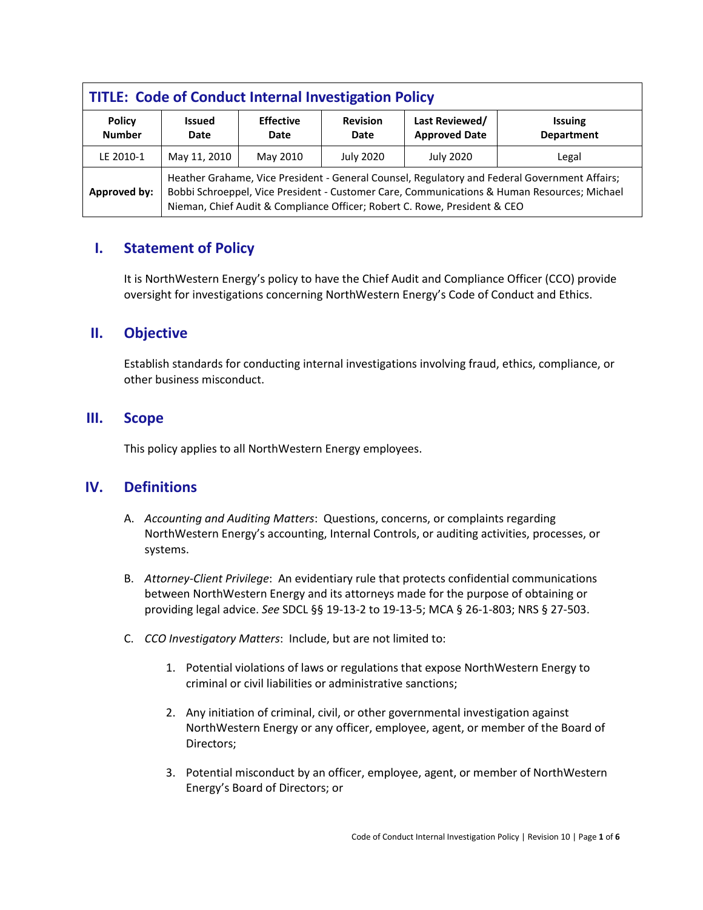| <b>TITLE: Code of Conduct Internal Investigation Policy</b> |                                                                                                                                                                                                                                                                           |                          |                         |                                        |                                     |  |  |
|-------------------------------------------------------------|---------------------------------------------------------------------------------------------------------------------------------------------------------------------------------------------------------------------------------------------------------------------------|--------------------------|-------------------------|----------------------------------------|-------------------------------------|--|--|
| <b>Policy</b><br><b>Number</b>                              | <b>Issued</b><br>Date                                                                                                                                                                                                                                                     | <b>Effective</b><br>Date | <b>Revision</b><br>Date | Last Reviewed/<br><b>Approved Date</b> | <b>Issuing</b><br><b>Department</b> |  |  |
| LE 2010-1                                                   | May 11, 2010                                                                                                                                                                                                                                                              | May 2010                 | <b>July 2020</b>        | <b>July 2020</b>                       | Legal                               |  |  |
| Approved by:                                                | Heather Grahame, Vice President - General Counsel, Regulatory and Federal Government Affairs;<br>Bobbi Schroeppel, Vice President - Customer Care, Communications & Human Resources; Michael<br>Nieman, Chief Audit & Compliance Officer; Robert C. Rowe, President & CEO |                          |                         |                                        |                                     |  |  |

# **I. Statement of Policy**

It is NorthWestern Energy's policy to have the Chief Audit and Compliance Officer (CCO) provide oversight for investigations concerning NorthWestern Energy's Code of Conduct and Ethics.

# **II. Objective**

Establish standards for conducting internal investigations involving fraud, ethics, compliance, or other business misconduct.

## **III. Scope**

This policy applies to all NorthWestern Energy employees.

# **IV. Definitions**

- A. *Accounting and Auditing Matters*: Questions, concerns, or complaints regarding NorthWestern Energy's accounting, Internal Controls, or auditing activities, processes, or systems.
- B. *Attorney-Client Privilege*:An evidentiary rule that protects confidential communications between NorthWestern Energy and its attorneys made for the purpose of obtaining or providing legal advice. *See* SDCL §§ 19-13-2 to 19-13-5; MCA § 26-1-803; NRS § 27-503.
- C. *CCO Investigatory Matters*: Include, but are not limited to:
	- 1. Potential violations of laws or regulations that expose NorthWestern Energy to criminal or civil liabilities or administrative sanctions;
	- 2. Any initiation of criminal, civil, or other governmental investigation against NorthWestern Energy or any officer, employee, agent, or member of the Board of Directors;
	- 3. Potential misconduct by an officer, employee, agent, or member of NorthWestern Energy's Board of Directors; or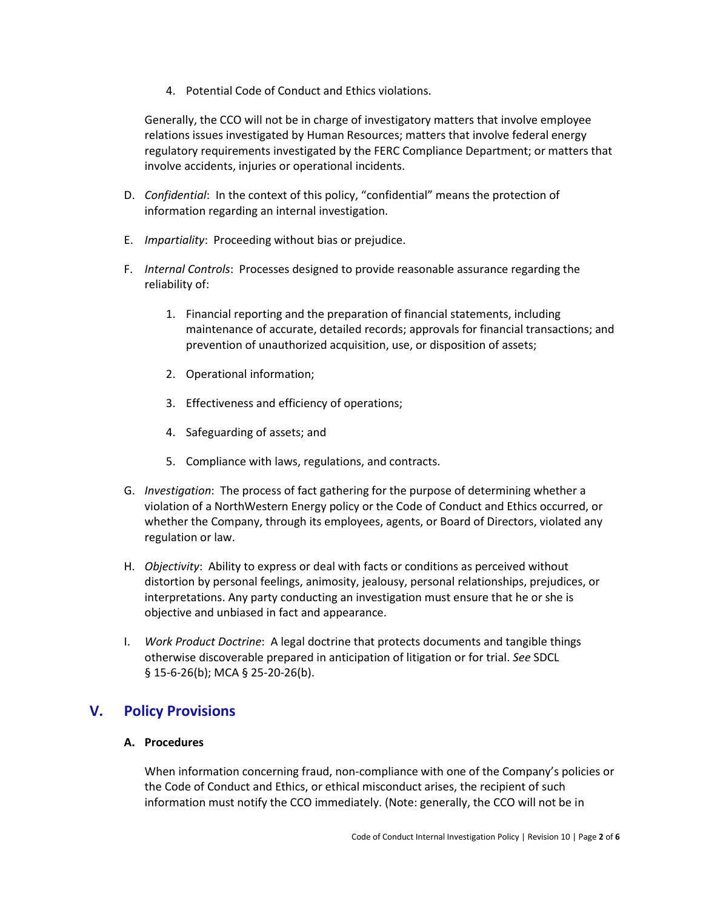4. Potential Code of Conduct and Ethics violations.

Generally, the CCO will not be in charge of investigatory matters that involve employee relations issues investigated by Human Resources; matters that involve federal energy regulatory requirements investigated by the FERC Compliance Department; or matters that involve accidents, injuries or operational incidents.

- D. *Confidential*: In the context of this policy, "confidential" means the protection of information regarding an internal investigation.
- E. *Impartiality*: Proceeding without bias or prejudice.
- F. *Internal Controls*: Processes designed to provide reasonable assurance regarding the reliability of:
	- 1. Financial reporting and the preparation of financial statements, including maintenance of accurate, detailed records; approvals for financial transactions; and prevention of unauthorized acquisition, use, or disposition of assets;
	- 2. Operational information;
	- 3. Effectiveness and efficiency of operations;
	- 4. Safeguarding of assets; and
	- 5. Compliance with laws, regulations, and contracts.
- G. *Investigation*: The process of fact gathering for the purpose of determining whether a violation of a NorthWestern Energy policy or the Code of Conduct and Ethics occurred, or whether the Company, through its employees, agents, or Board of Directors, violated any regulation or law.
- H. *Objectivity*: Ability to express or deal with facts or conditions as perceived without distortion by personal feelings, animosity, jealousy, personal relationships, prejudices, or interpretations. Any party conducting an investigation must ensure that he or she is objective and unbiased in fact and appearance.
- I. *Work Product Doctrine*: A legal doctrine that protects documents and tangible things otherwise discoverable prepared in anticipation of litigation or for trial. *See* SDCL § 15-6-26(b); MCA § 25-20-26(b).

# **V. Policy Provisions**

## **A. Procedures**

When information concerning fraud, non-compliance with one of the Company's policies or the Code of Conduct and Ethics, or ethical misconduct arises, the recipient of such information must notify the CCO immediately. (Note: generally, the CCO will not be in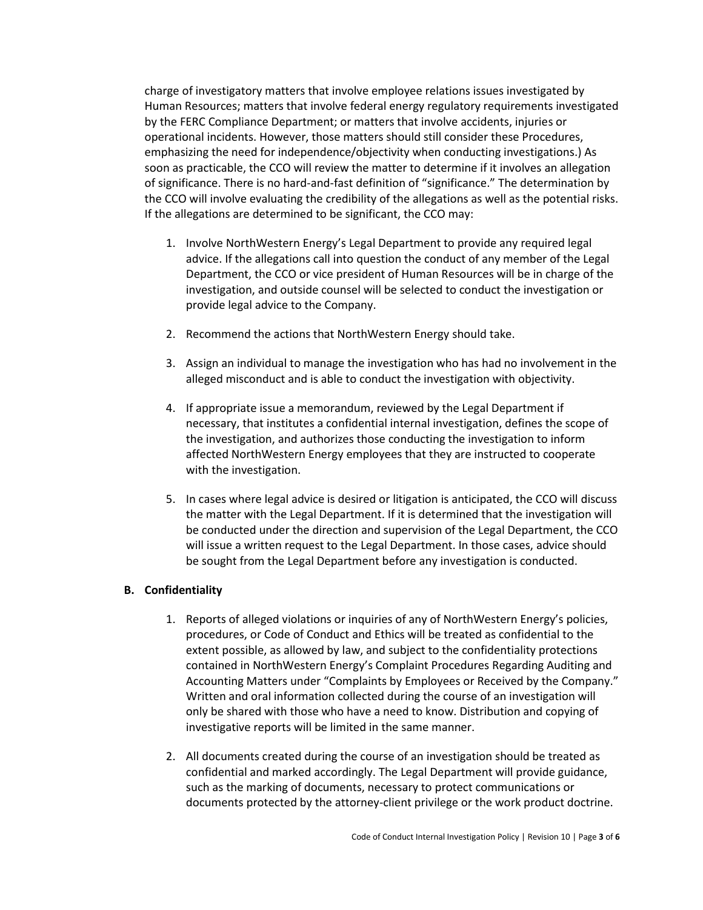charge of investigatory matters that involve employee relations issues investigated by Human Resources; matters that involve federal energy regulatory requirements investigated by the FERC Compliance Department; or matters that involve accidents, injuries or operational incidents. However, those matters should still consider these Procedures, emphasizing the need for independence/objectivity when conducting investigations.) As soon as practicable, the CCO will review the matter to determine if it involves an allegation of significance. There is no hard-and-fast definition of "significance." The determination by the CCO will involve evaluating the credibility of the allegations as well as the potential risks. If the allegations are determined to be significant, the CCO may:

- 1. Involve NorthWestern Energy's Legal Department to provide any required legal advice. If the allegations call into question the conduct of any member of the Legal Department, the CCO or vice president of Human Resources will be in charge of the investigation, and outside counsel will be selected to conduct the investigation or provide legal advice to the Company.
- 2. Recommend the actions that NorthWestern Energy should take.
- 3. Assign an individual to manage the investigation who has had no involvement in the alleged misconduct and is able to conduct the investigation with objectivity.
- 4. If appropriate issue a memorandum, reviewed by the Legal Department if necessary, that institutes a confidential internal investigation, defines the scope of the investigation, and authorizes those conducting the investigation to inform affected NorthWestern Energy employees that they are instructed to cooperate with the investigation.
- 5. In cases where legal advice is desired or litigation is anticipated, the CCO will discuss the matter with the Legal Department. If it is determined that the investigation will be conducted under the direction and supervision of the Legal Department, the CCO will issue a written request to the Legal Department. In those cases, advice should be sought from the Legal Department before any investigation is conducted.

#### **B. Confidentiality**

- 1. Reports of alleged violations or inquiries of any of NorthWestern Energy's policies, procedures, or Code of Conduct and Ethics will be treated as confidential to the extent possible, as allowed by law, and subject to the confidentiality protections contained in NorthWestern Energy's Complaint Procedures Regarding Auditing and Accounting Matters under "Complaints by Employees or Received by the Company." Written and oral information collected during the course of an investigation will only be shared with those who have a need to know. Distribution and copying of investigative reports will be limited in the same manner.
- 2. All documents created during the course of an investigation should be treated as confidential and marked accordingly. The Legal Department will provide guidance, such as the marking of documents, necessary to protect communications or documents protected by the attorney-client privilege or the work product doctrine.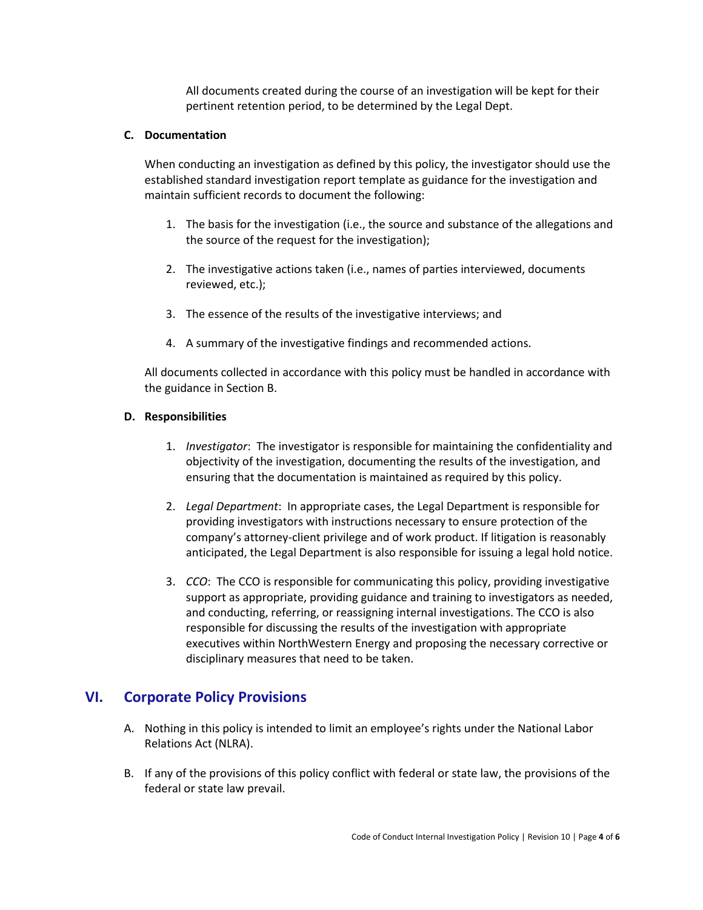All documents created during the course of an investigation will be kept for their pertinent retention period, to be determined by the Legal Dept.

#### **C. Documentation**

When conducting an investigation as defined by this policy, the investigator should use the established standard investigation report template as guidance for the investigation and maintain sufficient records to document the following:

- 1. The basis for the investigation (i.e., the source and substance of the allegations and the source of the request for the investigation);
- 2. The investigative actions taken (i.e., names of parties interviewed, documents reviewed, etc.);
- 3. The essence of the results of the investigative interviews; and
- 4. A summary of the investigative findings and recommended actions.

All documents collected in accordance with this policy must be handled in accordance with the guidance in Section B.

#### **D. Responsibilities**

- 1. *Investigator*: The investigator is responsible for maintaining the confidentiality and objectivity of the investigation, documenting the results of the investigation, and ensuring that the documentation is maintained as required by this policy.
- 2. *Legal Department*: In appropriate cases, the Legal Department is responsible for providing investigators with instructions necessary to ensure protection of the company's attorney-client privilege and of work product. If litigation is reasonably anticipated, the Legal Department is also responsible for issuing a legal hold notice.
- 3. *CCO*: The CCO is responsible for communicating this policy, providing investigative support as appropriate, providing guidance and training to investigators as needed, and conducting, referring, or reassigning internal investigations. The CCO is also responsible for discussing the results of the investigation with appropriate executives within NorthWestern Energy and proposing the necessary corrective or disciplinary measures that need to be taken.

# **VI. Corporate Policy Provisions**

- A. Nothing in this policy is intended to limit an employee's rights under the National Labor Relations Act (NLRA).
- B. If any of the provisions of this policy conflict with federal or state law, the provisions of the federal or state law prevail.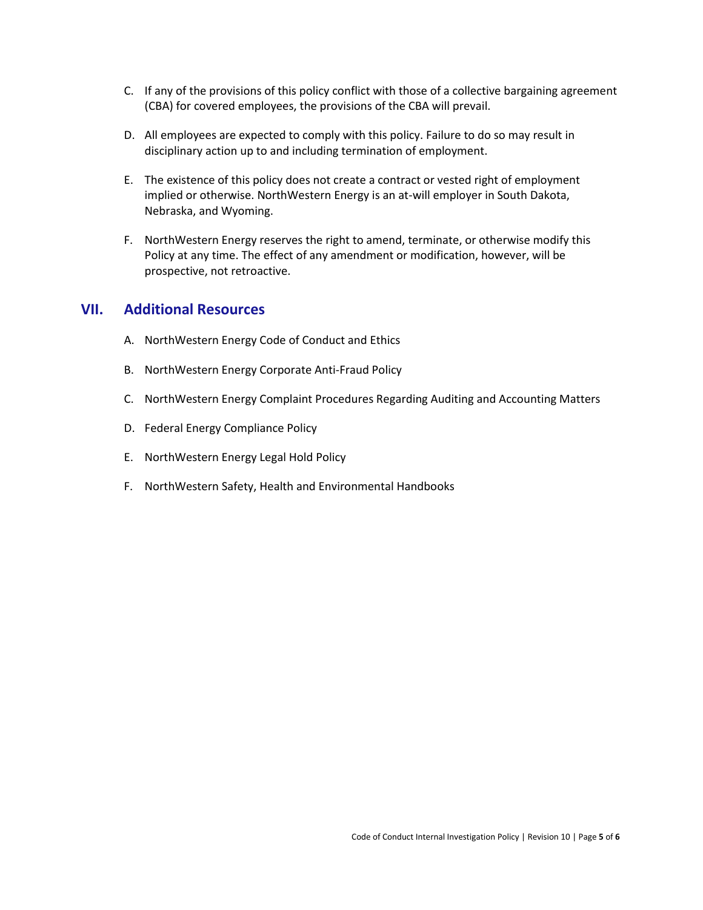- C. If any of the provisions of this policy conflict with those of a collective bargaining agreement (CBA) for covered employees, the provisions of the CBA will prevail.
- D. All employees are expected to comply with this policy. Failure to do so may result in disciplinary action up to and including termination of employment.
- E. The existence of this policy does not create a contract or vested right of employment implied or otherwise. NorthWestern Energy is an at-will employer in South Dakota, Nebraska, and Wyoming.
- F. NorthWestern Energy reserves the right to amend, terminate, or otherwise modify this Policy at any time. The effect of any amendment or modification, however, will be prospective, not retroactive.

### **VII. Additional Resources**

- A. NorthWestern Energy Code of Conduct and Ethics
- B. NorthWestern Energy Corporate Anti-Fraud Policy
- C. NorthWestern Energy Complaint Procedures Regarding Auditing and Accounting Matters
- D. Federal Energy Compliance Policy
- E. NorthWestern Energy Legal Hold Policy
- F. NorthWestern Safety, Health and Environmental Handbooks